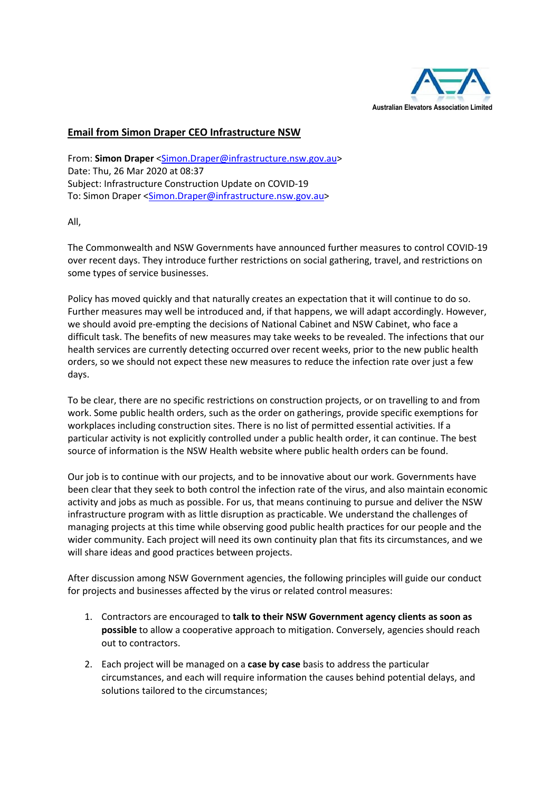

## **Email from Simon Draper CEO Infrastructure NSW**

From: **Simon Draper** [<Simon.Draper@infrastructure.nsw.gov.au>](mailto:Simon.Draper@infrastructure.nsw.gov.au) Date: Thu, 26 Mar 2020 at 08:37 Subject: Infrastructure Construction Update on COVID-19 To: Simon Draper [<Simon.Draper@infrastructure.nsw.gov.au>](mailto:Simon.Draper@infrastructure.nsw.gov.au)

All,

The Commonwealth and NSW Governments have announced further measures to control COVID-19 over recent days. They introduce further restrictions on social gathering, travel, and restrictions on some types of service businesses.

Policy has moved quickly and that naturally creates an expectation that it will continue to do so. Further measures may well be introduced and, if that happens, we will adapt accordingly. However, we should avoid pre-empting the decisions of National Cabinet and NSW Cabinet, who face a difficult task. The benefits of new measures may take weeks to be revealed. The infections that our health services are currently detecting occurred over recent weeks, prior to the new public health orders, so we should not expect these new measures to reduce the infection rate over just a few days.

To be clear, there are no specific restrictions on construction projects, or on travelling to and from work. Some public health orders, such as the order on gatherings, provide specific exemptions for workplaces including construction sites. There is no list of permitted essential activities. If a particular activity is not explicitly controlled under a public health order, it can continue. The best source of information is the NSW Health website where public health orders can be found.

Our job is to continue with our projects, and to be innovative about our work. Governments have been clear that they seek to both control the infection rate of the virus, and also maintain economic activity and jobs as much as possible. For us, that means continuing to pursue and deliver the NSW infrastructure program with as little disruption as practicable. We understand the challenges of managing projects at this time while observing good public health practices for our people and the wider community. Each project will need its own continuity plan that fits its circumstances, and we will share ideas and good practices between projects.

After discussion among NSW Government agencies, the following principles will guide our conduct for projects and businesses affected by the virus or related control measures:

- 1. Contractors are encouraged to **talk to their NSW Government agency clients as soon as possible** to allow a cooperative approach to mitigation. Conversely, agencies should reach out to contractors.
- 2. Each project will be managed on a **case by case** basis to address the particular circumstances, and each will require information the causes behind potential delays, and solutions tailored to the circumstances;